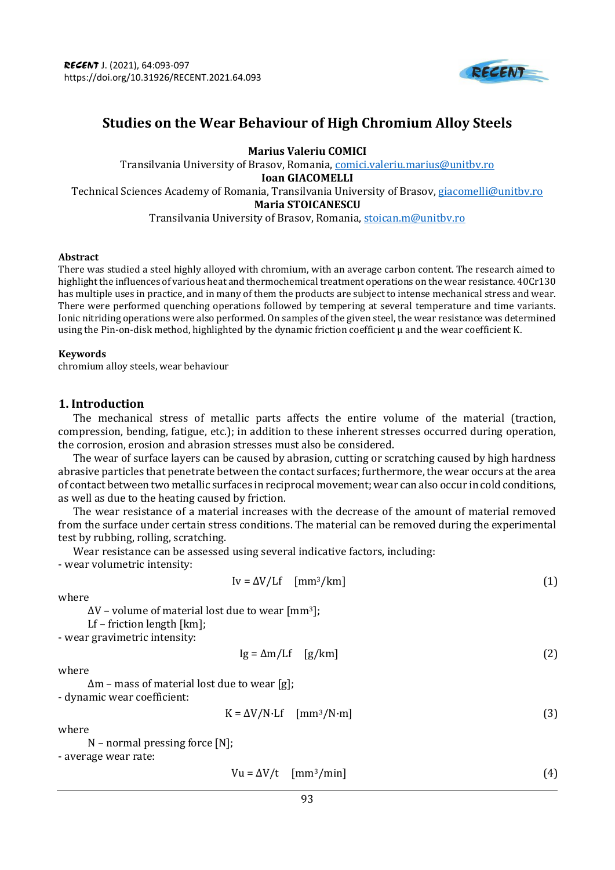

# **Studies on the Wear Behaviour of High Chromium Alloy Steels**

**Marius Valeriu COMICI** Transilvania University of Brasov, Romania[, comici.valeriu.marius@unitbv.ro](mailto:comici.valeriu.marius@unitbv.ro) **Ioan GIACOMELLI** Technical Sciences Academy of Romania, Transilvania University of Brasov[, giacomelli@unitbv.ro](mailto:giacomelli@unitbv.ro) **Maria STOICANESCU** Transilvania University of Brasov, Romania[, stoican.m@unitbv.ro](mailto:stoican.m@unitbv.ro)

#### **Abstract**

There was studied a steel highly alloyed with chromium, with an average carbon content. The research aimed to highlight the influences of various heat and thermochemical treatment operations on the wear resistance. 40Cr130 has multiple uses in practice, and in many of them the products are subject to intense mechanical stress and wear. There were performed quenching operations followed by tempering at several temperature and time variants. Ionic nitriding operations were also performed. On samples of the given steel, the wear resistance was determined using the Pin-on-disk method, highlighted by the dynamic friction coefficient  $\mu$  and the wear coefficient K.

#### **Keywords**

chromium alloy steels, wear behaviour

# **1. Introduction**

The mechanical stress of metallic parts affects the entire volume of the material (traction, compression, bending, fatigue, etc.); in addition to these inherent stresses occurred during operation, the corrosion, erosion and abrasion stresses must also be considered.

The wear of surface layers can be caused by abrasion, cutting or scratching caused by high hardness abrasive particles that penetrate between the contact surfaces; furthermore, the wear occurs at the area of contact between two metallic surfaces in reciprocal movement; wear can also occur in cold conditions, as well as due to the heating caused by friction.

The wear resistance of a material increases with the decrease of the amount of material removed from the surface under certain stress conditions. The material can be removed during the experimental test by rubbing, rolling, scratching.

Wear resistance can be assessed using several indicative factors, including: - wear volumetric intensity:

$$
Iv = \Delta V / Lf \quad [mm^3 / km] \tag{1}
$$

where

 $\Delta V$  – volume of material lost due to wear [mm<sup>3</sup>];

- Lf friction length [km];
- wear gravimetric intensity:

$$
Ig = \Delta m / Lf \quad [g/km]
$$
 (2)

where

Δm – mass of material lost due to wear [g];

- dynamic wear coefficient:

$$
K = \Delta V / N \cdot Lf \quad [mm^3 / N \cdot m]
$$
 (3)

where

N – normal pressing force [N];

- average wear rate:

$$
Vu = \Delta V/t \quad [mm^3/min] \tag{4}
$$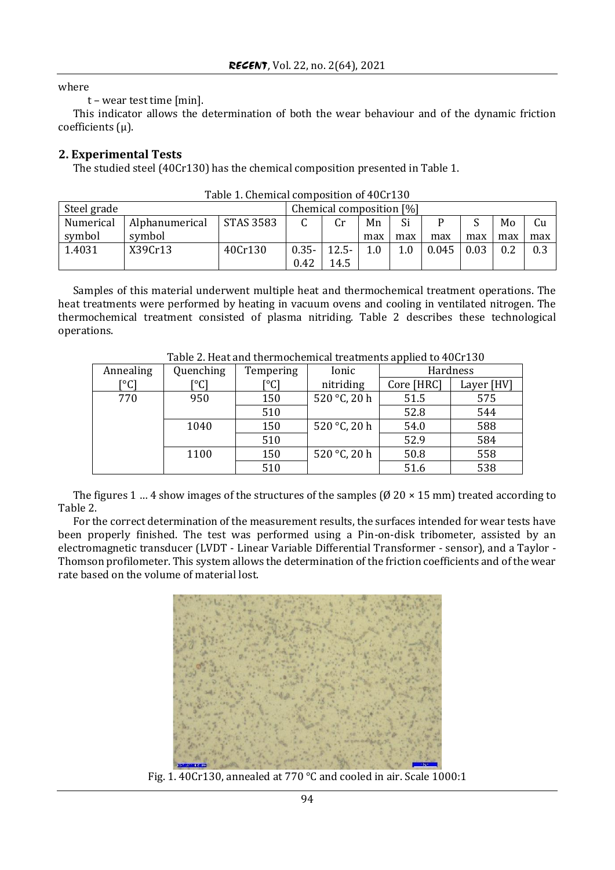## where

t – wear test time [min].

This indicator allows the determination of both the wear behaviour and of the dynamic friction coefficients (µ).

# **2. Experimental Tests**

The studied steel (40Cr130) has the chemical composition presented in Table 1.

| Steel grade |                |                  | Chemical composition [%] |          |     |     |       |      |     |     |
|-------------|----------------|------------------|--------------------------|----------|-----|-----|-------|------|-----|-----|
| Numerical   | Alphanumerical | <b>STAS 3583</b> |                          | Cr       | Mn  | Si  |       |      | Mo  | Cu  |
| symbol      | symbol         |                  |                          |          | max | max | max   | max  | max | max |
| 1.4031      | X39Cr13        | 40Cr130          | $0.35 -$                 | $12.5 -$ | 1.0 | 1.0 | 0.045 | 0.03 |     | 0.3 |
|             |                |                  | 0.42                     | 14.5     |     |     |       |      |     |     |

Samples of this material underwent multiple heat and thermochemical treatment operations. The heat treatments were performed by heating in vacuum ovens and cooling in ventilated nitrogen. The thermochemical treatment consisted of plasma nitriding. Table 2 describes these technological operations.

| Table 2. Heat and thermochemical deathful applied to Tour 199 |           |           |              |            |            |
|---------------------------------------------------------------|-----------|-----------|--------------|------------|------------|
| Annealing                                                     | Quenching | Tempering | Ionic        | Hardness   |            |
| [°C]                                                          | [°C]      | [°C]      | nitriding    | Core [HRC] | Layer [HV] |
| 770                                                           | 950       | 150       | 520 °C, 20 h | 51.5       | 575        |
|                                                               |           | 510       |              | 52.8       | 544        |
|                                                               | 1040      | 150       | 520 °C, 20 h | 54.0       | 588        |
|                                                               |           | 510       |              | 52.9       | 584        |
|                                                               | 1100      | 150       | 520 °C, 20 h | 50.8       | 558        |
|                                                               |           | 510       |              | 51.6       | 538        |

Table 2. Heat and thermochemical treatments applied to 40Cr130

The figures 1 … 4 show images of the structures of the samples ( $\varnothing$  20  $\times$  15 mm) treated according to Table 2.

For the correct determination of the measurement results, the surfaces intended for wear tests have been properly finished. The test was performed using a Pin-on-disk tribometer, assisted by an electromagnetic transducer (LVDT - Linear Variable Differential Transformer - sensor), and a Taylor - Thomson profilometer. This system allows the determination of the friction coefficients and of the wear rate based on the volume of material lost.



Fig. 1. 40Cr130, annealed at 770 °C and cooled in air. Scale 1000:1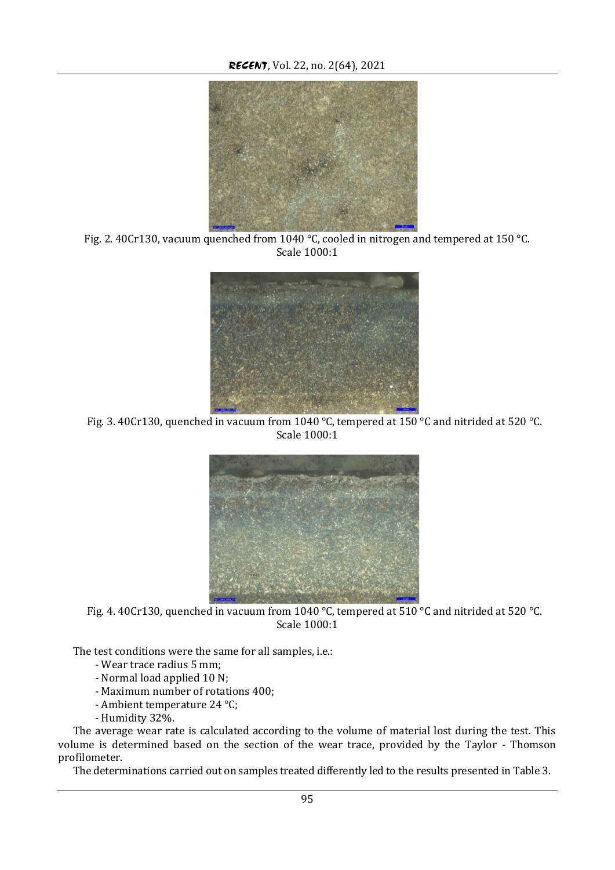

Fig. 2. 40Cr130, vacuum quenched from 1040 °C, cooled in nitrogen and tempered at 150 °C. Scale 1000:1



Fig. 3. 40Cr130, quenched in vacuum from 1040 °C, tempered at 150 °C and nitrided at 520 °C. Scale 1000:1



Fig. 4. 40Cr130, quenched in vacuum from 1040 °C, tempered at 510 °C and nitrided at 520 °C. Scale 1000:1

The test conditions were the same for all samples, i.e.:

- Wear trace radius 5 mm;
- Normal load applied 10 N;
- Maximum number of rotations 400;
- Ambient temperature 24 °C;
- Humidity 32%.

The average wear rate is calculated according to the volume of material lost during the test. This volume is determined based on the section of the wear trace, provided by the Taylor - Thomson profilometer.

The determinations carried out on samples treated differently led to the results presented in Table 3.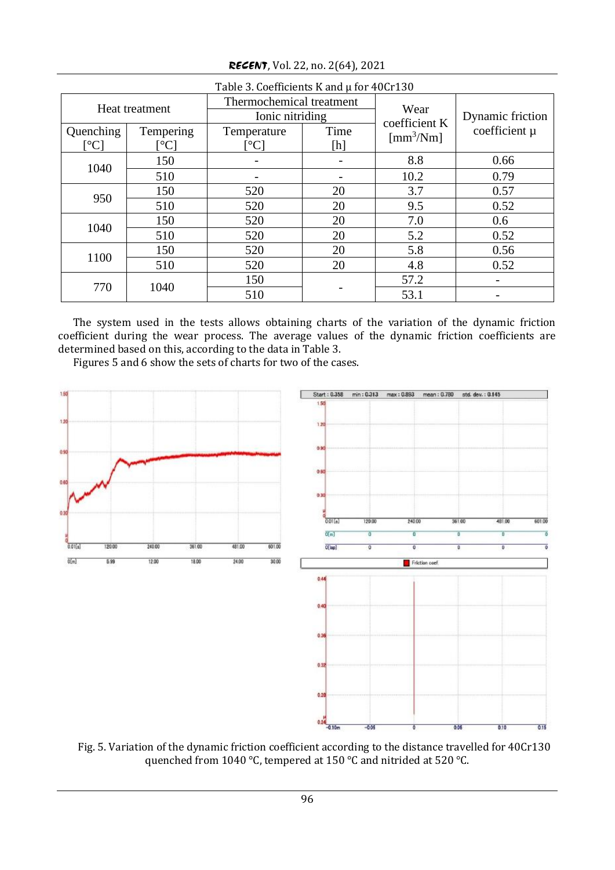| Table 3. Coefficients K and µ for 40Cr130 |                 |                          |                                                                                                                                                                                                                                                                                                                                                                                                                                                                                                                                                                                                                                                           |                                      |                  |  |  |
|-------------------------------------------|-----------------|--------------------------|-----------------------------------------------------------------------------------------------------------------------------------------------------------------------------------------------------------------------------------------------------------------------------------------------------------------------------------------------------------------------------------------------------------------------------------------------------------------------------------------------------------------------------------------------------------------------------------------------------------------------------------------------------------|--------------------------------------|------------------|--|--|
| Heat treatment                            |                 | Thermochemical treatment |                                                                                                                                                                                                                                                                                                                                                                                                                                                                                                                                                                                                                                                           | Wear                                 |                  |  |  |
|                                           |                 | Ionic nitriding          |                                                                                                                                                                                                                                                                                                                                                                                                                                                                                                                                                                                                                                                           | coefficient K                        | Dynamic friction |  |  |
| Quenching                                 | Tempering       | Temperature              | Time                                                                                                                                                                                                                                                                                                                                                                                                                                                                                                                                                                                                                                                      | $\left[\text{mm}^3/\text{Nm}\right]$ | coefficient µ    |  |  |
| $\lceil{^\circ}\text{C}\rceil$            | $\rm ^{\circ}C$ |                          | $[h] \centering% \includegraphics[width=1.0\textwidth]{Figures/PN1.png} \caption{The 3D maps of the parameter $\Omega$ with the same parameters. The 3D maps are the same as in Figure \ref{fig:map}(a) and the 3D maps are the same as in Figure \ref{fig:map}(b) and the 3D maps are the same as in Figure \ref{fig:map}(c) and the 3D maps are the same as in Figure \ref{fig:map}(d) and the 3D maps are the same as inFigure \ref{fig:map}(e) and the 3D maps are the same as inFigure \ref{fig:map}(e) and the 3D maps are the same as inFigure \ref{fig:map}(f) and the 3D maps are the same as inFigure \ref{fig:map}(f) and the 3D maps are the$ |                                      |                  |  |  |
| 1040                                      | 150             |                          |                                                                                                                                                                                                                                                                                                                                                                                                                                                                                                                                                                                                                                                           | 8.8                                  | 0.66             |  |  |
|                                           | 510             |                          |                                                                                                                                                                                                                                                                                                                                                                                                                                                                                                                                                                                                                                                           | 10.2                                 | 0.79             |  |  |
| 950                                       | 150             | 520                      | 20                                                                                                                                                                                                                                                                                                                                                                                                                                                                                                                                                                                                                                                        | 3.7                                  | 0.57             |  |  |
|                                           | 510             | 520                      | 20                                                                                                                                                                                                                                                                                                                                                                                                                                                                                                                                                                                                                                                        | 9.5                                  | 0.52             |  |  |
| 1040                                      | 150             | 520                      | 20                                                                                                                                                                                                                                                                                                                                                                                                                                                                                                                                                                                                                                                        | 7.0                                  | 0.6              |  |  |
|                                           | 510             | 520                      | 20                                                                                                                                                                                                                                                                                                                                                                                                                                                                                                                                                                                                                                                        | 5.2                                  | 0.52             |  |  |
| 1100                                      | 150             | 520                      | 20                                                                                                                                                                                                                                                                                                                                                                                                                                                                                                                                                                                                                                                        | 5.8                                  | 0.56             |  |  |
|                                           | 510             | 520                      | 20                                                                                                                                                                                                                                                                                                                                                                                                                                                                                                                                                                                                                                                        | 4.8                                  | 0.52             |  |  |
| 770                                       | 1040            | 150                      |                                                                                                                                                                                                                                                                                                                                                                                                                                                                                                                                                                                                                                                           | 57.2                                 |                  |  |  |
|                                           |                 | 510                      |                                                                                                                                                                                                                                                                                                                                                                                                                                                                                                                                                                                                                                                           | 53.1                                 |                  |  |  |

*RECENT*, Vol. 22, no. 2(64), 2021

The system used in the tests allows obtaining charts of the variation of the dynamic friction coefficient during the wear process. The average values of the dynamic friction coefficients are determined based on this, according to the data in Table 3.

Figures 5 and 6 show the sets of charts for two of the cases.



Fig. 5. Variation of the dynamic friction coefficient according to the distance travelled for 40Cr130 quenched from 1040 °C, tempered at 150 °C and nitrided at 520 °C.